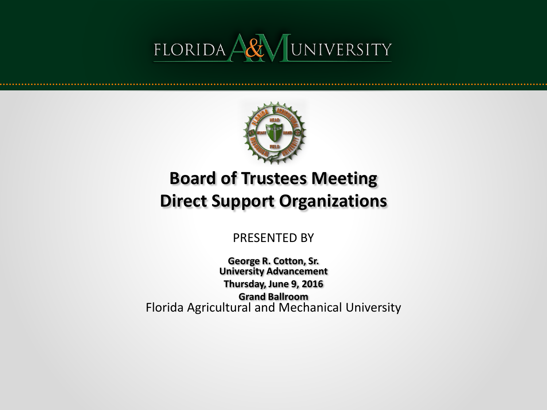



## **Board of Trustees Meeting Direct Support Organizations**

PRESENTED BY

Florida Agricultural and Mechanical University **George R. Cotton, Sr. University Advancement Thursday, June 9, 2016 Grand Ballroom**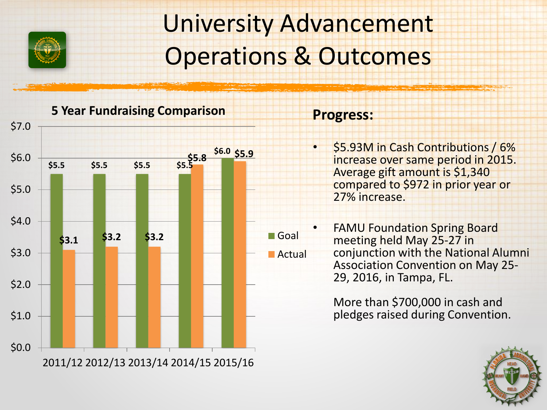

## University Advancement Operations & Outcomes

**5 Year Fundraising Comparison**